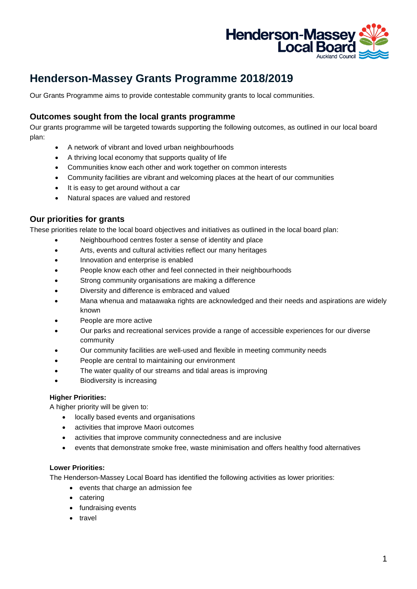

# **Henderson-Massey Grants Programme 2018/2019**

Our Grants Programme aims to provide contestable community grants to local communities.

## **Outcomes sought from the local grants programme**

Our grants programme will be targeted towards supporting the following outcomes, as outlined in our local board plan:

- A network of vibrant and loved urban neighbourhoods
- A thriving local economy that supports quality of life
- Communities know each other and work together on common interests
- Community facilities are vibrant and welcoming places at the heart of our communities
- It is easy to get around without a car
- Natural spaces are valued and restored

## **Our priorities for grants**

These priorities relate to the local board objectives and initiatives as outlined in the local board plan:

- Neighbourhood centres foster a sense of identity and place
- Arts, events and cultural activities reflect our many heritages
- Innovation and enterprise is enabled
- People know each other and feel connected in their neighbourhoods
- Strong community organisations are making a difference
- Diversity and difference is embraced and valued
- Mana whenua and mataawaka rights are acknowledged and their needs and aspirations are widely known
- People are more active
- Our parks and recreational services provide a range of accessible experiences for our diverse community
- Our community facilities are well-used and flexible in meeting community needs
- People are central to maintaining our environment
- The water quality of our streams and tidal areas is improving
- Biodiversity is increasing

#### **Higher Priorities:**

A higher priority will be given to:

- locally based events and organisations
- activities that improve Maori outcomes
- activities that improve community connectedness and are inclusive
- events that demonstrate smoke free, waste minimisation and offers healthy food alternatives

#### **Lower Priorities:**

The Henderson-Massey Local Board has identified the following activities as lower priorities:

- events that charge an admission fee
- catering
- fundraising events
- travel